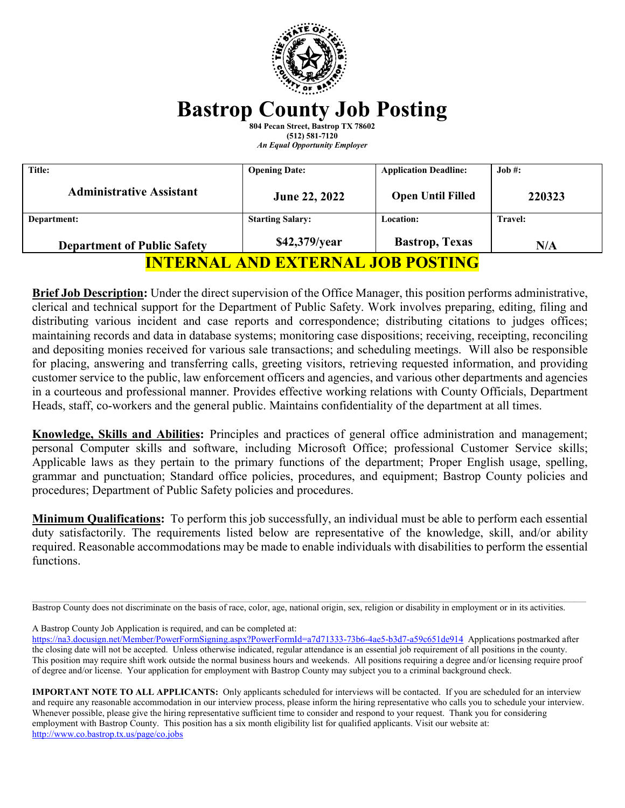

# **Bastrop County Job Posting**

**804 Pecan Street, Bastrop TX 78602 (512) 581-7120** *An Equal Opportunity Employer*

| Title:                                   | <b>Opening Date:</b>    | <b>Application Deadline:</b> | $Job \#$ :     |
|------------------------------------------|-------------------------|------------------------------|----------------|
| <b>Administrative Assistant</b>          | June 22, 2022           | <b>Open Until Filled</b>     | 220323         |
| Department:                              | <b>Starting Salary:</b> | <b>Location:</b>             | <b>Travel:</b> |
| <b>Department of Public Safety</b>       | \$42,379/year           | <b>Bastrop</b> , Texas       | N/A            |
| <b>INTERNAL AND EXTERNAL JOB POSTING</b> |                         |                              |                |

**Brief Job Description:** Under the direct supervision of the Office Manager, this position performs administrative, clerical and technical support for the Department of Public Safety. Work involves preparing, editing, filing and distributing various incident and case reports and correspondence; distributing citations to judges offices; maintaining records and data in database systems; monitoring case dispositions; receiving, receipting, reconciling and depositing monies received for various sale transactions; and scheduling meetings. Will also be responsible for placing, answering and transferring calls, greeting visitors, retrieving requested information, and providing customer service to the public, law enforcement officers and agencies, and various other departments and agencies in a courteous and professional manner. Provides effective working relations with County Officials, Department Heads, staff, co-workers and the general public. Maintains confidentiality of the department at all times.

**Knowledge, Skills and Abilities:** Principles and practices of general office administration and management; personal Computer skills and software, including Microsoft Office; professional Customer Service skills; Applicable laws as they pertain to the primary functions of the department; Proper English usage, spelling, grammar and punctuation; Standard office policies, procedures, and equipment; Bastrop County policies and procedures; Department of Public Safety policies and procedures.

**Minimum Qualifications:** To perform this job successfully, an individual must be able to perform each essential duty satisfactorily. The requirements listed below are representative of the knowledge, skill, and/or ability required. Reasonable accommodations may be made to enable individuals with disabilities to perform the essential functions.

 $\_$  , and the state of the state of the state of the state of the state of the state of the state of the state of the state of the state of the state of the state of the state of the state of the state of the state of the

A Bastrop County Job Application is required, and can be completed at:

**IMPORTANT NOTE TO ALL APPLICANTS:** Only applicants scheduled for interviews will be contacted. If you are scheduled for an interview and require any reasonable accommodation in our interview process, please inform the hiring representative who calls you to schedule your interview. Whenever possible, please give the hiring representative sufficient time to consider and respond to your request. Thank you for considering employment with Bastrop County. This position has a six month eligibility list for qualified applicants. Visit our website at: <http://www.co.bastrop.tx.us/page/co.jobs>

Bastrop County does not discriminate on the basis of race, color, age, national origin, sex, religion or disability in employment or in its activities.

<https://na3.docusign.net/Member/PowerFormSigning.aspx?PowerFormId=a7d71333-73b6-4ae5-b3d7-a59c651de914>Applications postmarked after the closing date will not be accepted. Unless otherwise indicated, regular attendance is an essential job requirement of all positions in the county. This position may require shift work outside the normal business hours and weekends. All positions requiring a degree and/or licensing require proof of degree and/or license. Your application for employment with Bastrop County may subject you to a criminal background check.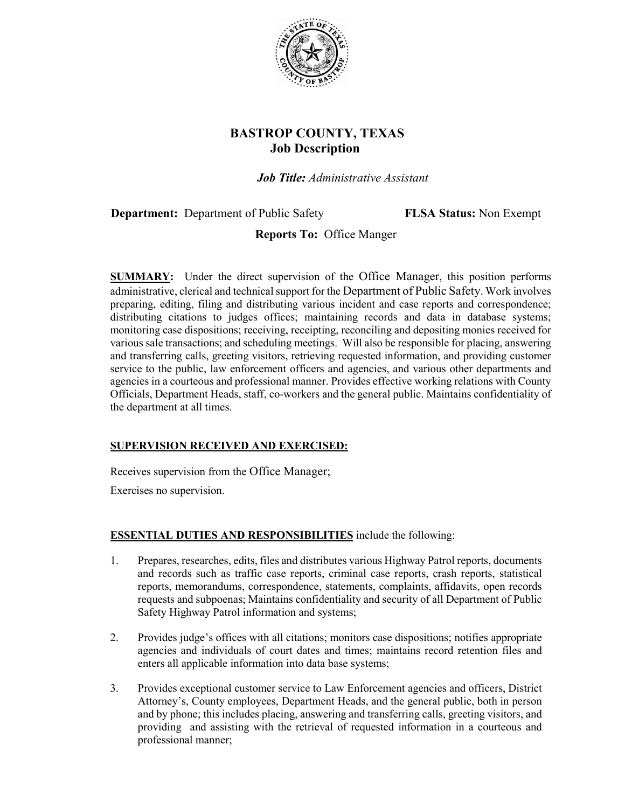

# **BASTROP COUNTY, TEXAS Job Description**

*Job Title: Administrative Assistant*

**Department:** Department of Public Safety **FLSA Status:** Non Exempt

## **Reports To:** Office Manger

**SUMMARY:** Under the direct supervision of the Office Manager, this position performs administrative, clerical and technical support for the Department of Public Safety. Work involves preparing, editing, filing and distributing various incident and case reports and correspondence; distributing citations to judges offices; maintaining records and data in database systems; monitoring case dispositions; receiving, receipting, reconciling and depositing monies received for various sale transactions; and scheduling meetings. Will also be responsible for placing, answering and transferring calls, greeting visitors, retrieving requested information, and providing customer service to the public, law enforcement officers and agencies, and various other departments and agencies in a courteous and professional manner. Provides effective working relations with County Officials, Department Heads, staff, co-workers and the general public. Maintains confidentiality of the department at all times.

## **SUPERVISION RECEIVED AND EXERCISED:**

Receives supervision from the Office Manager;

Exercises no supervision.

## **ESSENTIAL DUTIES AND RESPONSIBILITIES** include the following:

- 1. Prepares, researches, edits, files and distributes various Highway Patrol reports, documents and records such as traffic case reports, criminal case reports, crash reports, statistical reports, memorandums, correspondence, statements, complaints, affidavits, open records requests and subpoenas; Maintains confidentiality and security of all Department of Public Safety Highway Patrol information and systems;
- 2. Provides judge's offices with all citations; monitors case dispositions; notifies appropriate agencies and individuals of court dates and times; maintains record retention files and enters all applicable information into data base systems;
- 3. Provides exceptional customer service to Law Enforcement agencies and officers, District Attorney's, County employees, Department Heads, and the general public, both in person and by phone; this includes placing, answering and transferring calls, greeting visitors, and providing and assisting with the retrieval of requested information in a courteous and professional manner;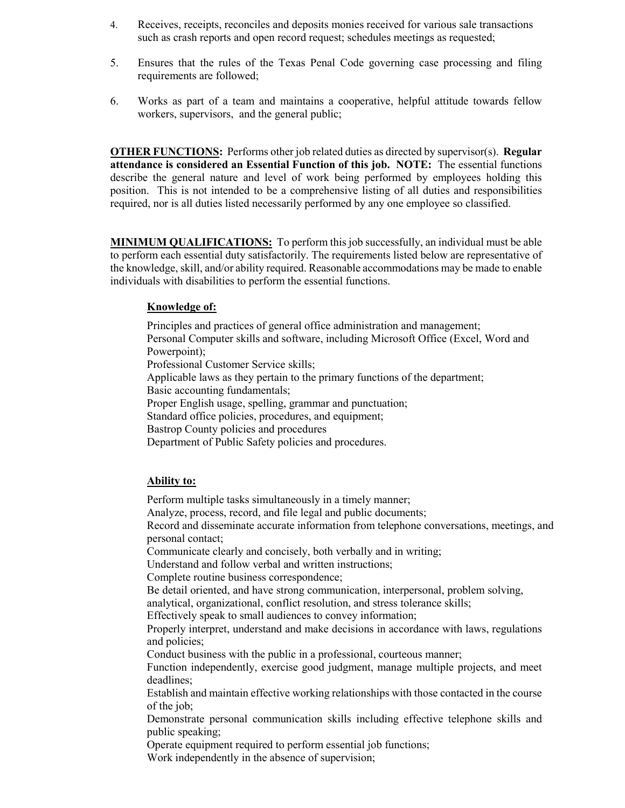- 4. Receives, receipts, reconciles and deposits monies received for various sale transactions such as crash reports and open record request; schedules meetings as requested;
- 5. Ensures that the rules of the Texas Penal Code governing case processing and filing requirements are followed;
- 6. Works as part of a team and maintains a cooperative, helpful attitude towards fellow workers, supervisors, and the general public;

**OTHER FUNCTIONS:** Performs other job related duties as directed by supervisor(s). **Regular attendance is considered an Essential Function of this job. NOTE:** The essential functions describe the general nature and level of work being performed by employees holding this position. This is not intended to be a comprehensive listing of all duties and responsibilities required, nor is all duties listed necessarily performed by any one employee so classified.

**MINIMUM QUALIFICATIONS:** To perform this job successfully, an individual must be able to perform each essential duty satisfactorily. The requirements listed below are representative of the knowledge, skill, and/or ability required. Reasonable accommodations may be made to enable individuals with disabilities to perform the essential functions.

#### **Knowledge of:**

Principles and practices of general office administration and management; Personal Computer skills and software, including Microsoft Office (Excel, Word and Powerpoint); Professional Customer Service skills; Applicable laws as they pertain to the primary functions of the department; Basic accounting fundamentals; Proper English usage, spelling, grammar and punctuation; Standard office policies, procedures, and equipment; Bastrop County policies and procedures Department of Public Safety policies and procedures.

#### **Ability to:**

Perform multiple tasks simultaneously in a timely manner; Analyze, process, record, and file legal and public documents; Record and disseminate accurate information from telephone conversations, meetings, and personal contact; Communicate clearly and concisely, both verbally and in writing; Understand and follow verbal and written instructions; Complete routine business correspondence; Be detail oriented, and have strong communication, interpersonal, problem solving, analytical, organizational, conflict resolution, and stress tolerance skills; Effectively speak to small audiences to convey information; Properly interpret, understand and make decisions in accordance with laws, regulations and policies; Conduct business with the public in a professional, courteous manner; Function independently, exercise good judgment, manage multiple projects, and meet deadlines; Establish and maintain effective working relationships with those contacted in the course of the job; Demonstrate personal communication skills including effective telephone skills and public speaking; Operate equipment required to perform essential job functions; Work independently in the absence of supervision;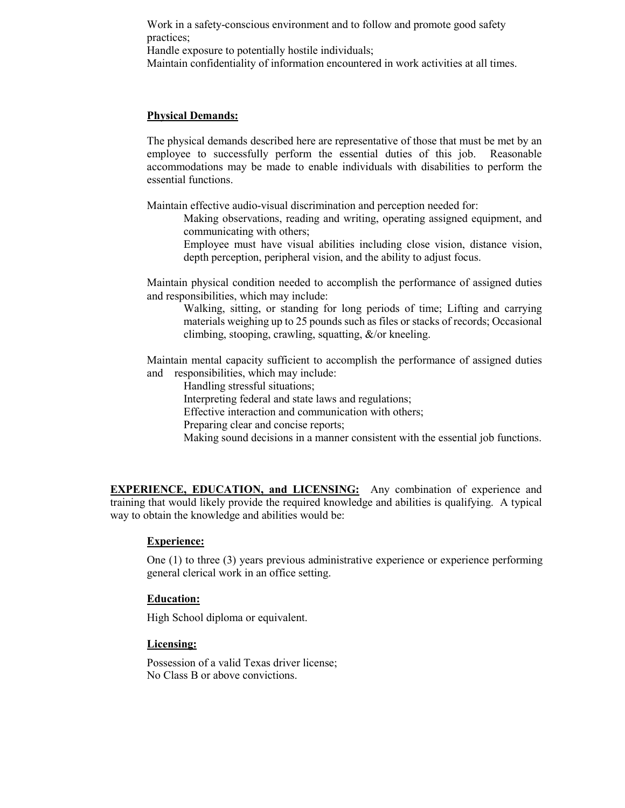Work in a safety-conscious environment and to follow and promote good safety practices;

Handle exposure to potentially hostile individuals;

Maintain confidentiality of information encountered in work activities at all times.

#### **Physical Demands:**

The physical demands described here are representative of those that must be met by an employee to successfully perform the essential duties of this job. Reasonable accommodations may be made to enable individuals with disabilities to perform the essential functions.

Maintain effective audio-visual discrimination and perception needed for:

Making observations, reading and writing, operating assigned equipment, and communicating with others;

Employee must have visual abilities including close vision, distance vision, depth perception, peripheral vision, and the ability to adjust focus.

Maintain physical condition needed to accomplish the performance of assigned duties and responsibilities, which may include:

Walking, sitting, or standing for long periods of time; Lifting and carrying materials weighing up to 25 pounds such as files or stacks of records; Occasional climbing, stooping, crawling, squatting,  $\&$ /or kneeling.

Maintain mental capacity sufficient to accomplish the performance of assigned duties and responsibilities, which may include:

Handling stressful situations;

Interpreting federal and state laws and regulations;

Effective interaction and communication with others;

Preparing clear and concise reports;

Making sound decisions in a manner consistent with the essential job functions.

**EXPERIENCE, EDUCATION, and LICENSING:** Any combination of experience and training that would likely provide the required knowledge and abilities is qualifying. A typical way to obtain the knowledge and abilities would be:

#### **Experience:**

One (1) to three (3) years previous administrative experience or experience performing general clerical work in an office setting.

#### **Education:**

High School diploma or equivalent.

#### **Licensing:**

Possession of a valid Texas driver license; No Class B or above convictions.